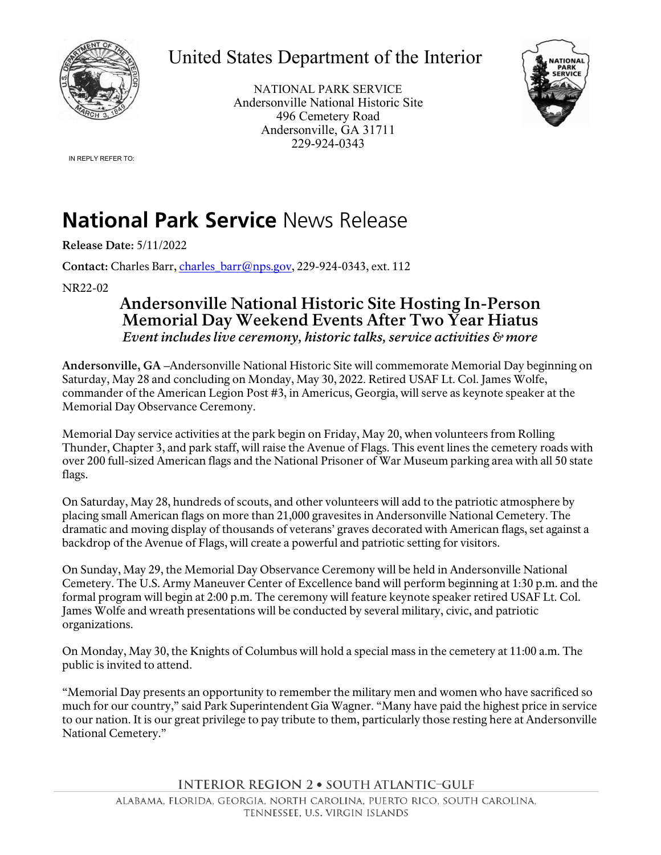

## United States Department of the Interior

NATIONAL PARK SERVICE Andersonville National Historic Site 496 Cemetery Road Andersonville, GA 31711 229-924-0343



IN REPLY REFER TO:

## **National Park Service** News Release

**Release Date:** 5/11/2022

Contact: Charles Barr, [charles\\_barr@nps.gov,](mailto:charles_barr@nps.gov) 229-924-0343, ext. 112

NR22-02

## **Andersonville National Historic Site Hosting In-Person Memorial Day Weekend Events After Two Year Hiatus**  *Event includes live ceremony, historic talks, service activities & more*

**Andersonville, GA –**Andersonville National Historic Site will commemorate Memorial Day beginning on Saturday, May 28 and concluding on Monday, May 30, 2022. Retired USAF Lt. Col. James Wolfe, commander of the American Legion Post #3, in Americus, Georgia, will serve as keynote speaker at the Memorial Day Observance Ceremony.

Memorial Day service activities at the park begin on Friday, May 20, when volunteers from Rolling Thunder, Chapter 3, and park staff, will raise the Avenue of Flags. This event lines the cemetery roads with over 200 full-sized American flags and the National Prisoner of War Museum parking area with all 50 state flags.

On Saturday, May 28, hundreds of scouts, and other volunteers will add to the patriotic atmosphere by placing small American flags on more than 21,000 gravesites in Andersonville National Cemetery. The dramatic and moving display of thousands of veterans' graves decorated with American flags, set against a backdrop of the Avenue of Flags, will create a powerful and patriotic setting for visitors.

On Sunday, May 29, the Memorial Day Observance Ceremony will be held in Andersonville National Cemetery. The U.S. Army Maneuver Center of Excellence band will perform beginning at 1:30 p.m. and the formal program will begin at 2:00 p.m. The ceremony will feature keynote speaker retired USAF Lt. Col. James Wolfe and wreath presentations will be conducted by several military, civic, and patriotic organizations.

On Monday, May 30, the Knights of Columbus will hold a special mass in the cemetery at 11:00 a.m. The public is invited to attend.

"Memorial Day presents an opportunity to remember the military men and women who have sacrificed so much for our country," said Park Superintendent Gia Wagner. "Many have paid the highest price in service to our nation. It is our great privilege to pay tribute to them, particularly those resting here at Andersonville National Cemetery."

**INTERIOR REGION 2 · SOUTH ATLANTIC-GULF**